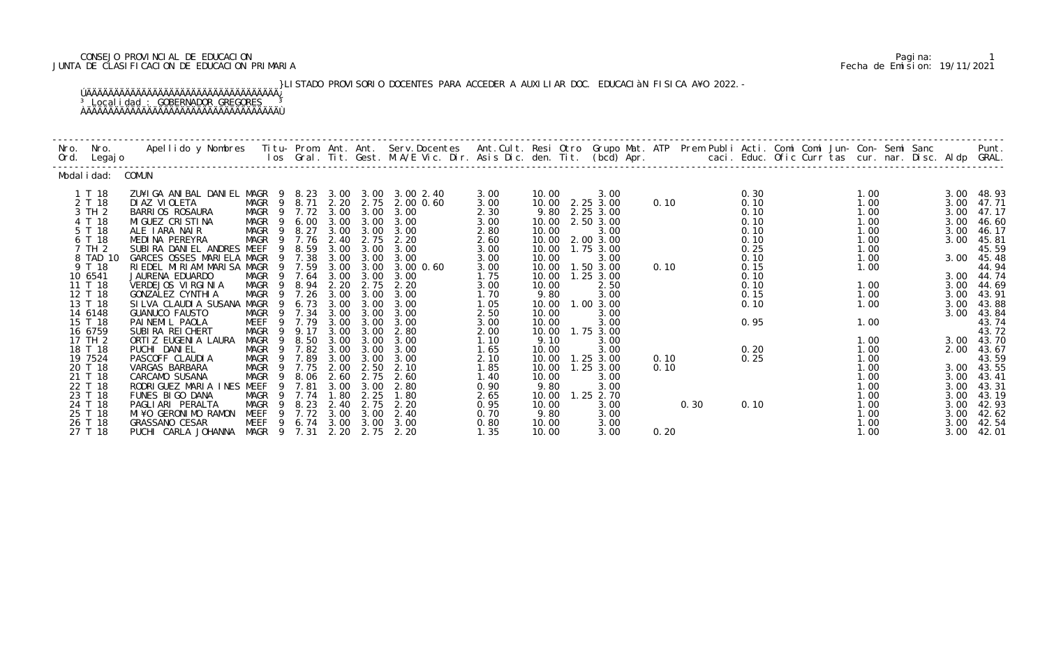## CONSEJO PROVINCIAL DE EDUCACION PARIMARIA DE EDUCACION PARIMARIA DE EDUCACION PARIMARIA DE ENCONSEJO PROVINCIA<br>JUNTA DE CLASIFICACION DE EDUCACION PRIMARIA Fecha de Emision: 19/11/2021 JUNTA DE CLASIFICACION DE EDUCACION PRIMARIA Fecha de Emision: 19/11/2021

 }LISTADO PROVISORIO DOCENTES PARA ACCEDER A AUXILIAR DOC. EDUCACIàN FISICA A¥O 2022.- ÚÄÄÄÄÄÄÄÄÄÄÄÄÄÄÄÄÄÄÄÄÄÄÄÄÄÄÄÄÄÄÄÄÄÄÄ¿ <sup>3</sup> Localidad : GOBERNADOR GREGORES <sup>3</sup> ÀÄÄÄÄÄÄÄÄÄÄÄÄÄÄÄÄÄÄÄÄÄÄÄÄÄÄÄÄÄÄÄÄÄÄÄÙ

| Nro.<br>Ord. | Nro.<br>Legaj o    | Apellido y Nombres - Titu- Prom. Ant. Ant. Serv.Docentes - Ant.Cult. Resi Otro Grupo Mat. ATP - Prem Publi Acti. Comi Comi Jun- Con- Semi Sanc - Semi Sanc - Semi Sanc - Semi Sanc - Semi Sanc - Semi Sanc - Semi Sanc. Int. G |                     |              |              |              |                     |              |                |                        |      |      |              |  | caci. Educ. Ofic Curr tas cur. nar. Disc. Aldp GRAL. |              | Punt.          |
|--------------|--------------------|--------------------------------------------------------------------------------------------------------------------------------------------------------------------------------------------------------------------------------|---------------------|--------------|--------------|--------------|---------------------|--------------|----------------|------------------------|------|------|--------------|--|------------------------------------------------------|--------------|----------------|
|              | Modal i dad:       | COMUN                                                                                                                                                                                                                          |                     |              |              |              |                     |              |                |                        |      |      |              |  |                                                      |              |                |
|              | 1 T 18             | ZU¥I GA ANI BAL DANI EL MAGR 9                                                                                                                                                                                                 |                     | 8.23         |              |              | 3.00 3.00 3.00 2.40 | 3.00         | 10.00          | 3.00                   |      |      | 0.30         |  | 1.00                                                 | 3.00         | 48.93          |
|              | 2 T 18             | DI AZ VI OLETA                                                                                                                                                                                                                 | MAGR 9              | 8.71         |              | 2.20 2.75    | 2.00 0.60           | 3.00         | 10.00          | 2.25 3.00              | 0.10 |      | 0.10         |  | 1.00                                                 | 3.00         | 47.71          |
|              | 3 TH 2             | <b>BARRIOS ROSAURA</b>                                                                                                                                                                                                         | MAGR<br>9           | 7.72         | 3.00         | 3.00         | 3.00                | 2.30         | 9.80           | 2.25 3.00              |      |      | 0.10         |  | 1.00                                                 | 3.00         | 47.17          |
|              | 4 T 18             | MI GUEZ CRI STI NA                                                                                                                                                                                                             | MAGR                | 6.00         | 3.00         | 3.00         | 3.00                | 3.00         | 10.00          | 2.50 3.00              |      |      | 0.10         |  | 1.00                                                 | 3.00         | 46.60          |
|              | 5 T 18             | ALE IARA NAIR<br>MEDINA PEREYRA                                                                                                                                                                                                | MAGR<br>-9<br>9     | 8.27<br>7.76 | 3.00<br>2.40 | 3.00<br>2.75 | 3.00<br>2.20        | 2.80         | 10.00<br>10.00 | 3.00                   |      |      | 0.10<br>0.10 |  | 1.00                                                 | 3.00         | 46.17          |
|              | 6 T 18<br>7 TH 2   | SUBIRA DANIEL ANDRES MEEF                                                                                                                                                                                                      | MAGR<br>9           | 8.59         | 3.00         | 3.00         | 3.00                | 2.60<br>3.00 | 10.00          | 2.00 3.00<br>1.75 3.00 |      |      | 0.25         |  | 1.00<br>1.00                                         | 3.00         | 45.81<br>45.59 |
|              | 8 TAD 10           | GARCES OSSES MARIELA MAGR                                                                                                                                                                                                      |                     | 7.38         | 3.00         | 3.00         | 3.00                | 3.00         | 10.00          | 3.00                   |      |      | 0.10         |  | 1.00                                                 | 3.00         | 45.48          |
|              | 9 T 18             | RIEDEL MIRIAM MARISA MAGR                                                                                                                                                                                                      | -9                  | 7.59         | 3.00         | 3.00         | 3.00 0.60           | 3.00         | 10.00          | $1.50$ $3.00$          | 0.10 |      | 0.15         |  | 1.00                                                 |              | 44.94          |
|              | 10 6541            | JAURENA EDUARDO                                                                                                                                                                                                                | MAGR<br>9           | 7.64         | 3.00         | 3.00         | 3.00                | 1.75         | 10.00          | $1.25$ $3.00$          |      |      | 0.10         |  |                                                      | 3.00         | 44.74          |
|              | 11 T 18            | VERDEJOS VIRGINIA                                                                                                                                                                                                              | MAGR<br>9           | 8.94         | 2.20         | 2.75         | 2.20                | 3.00         | 10.00          | 2.50                   |      |      | 0.10         |  | 1.00                                                 | 3.00         | 44.69          |
|              | 12 T 18            | GONZALEZ CYNTHI A                                                                                                                                                                                                              | MAGR<br>- 9         | 7.26         | 3.00         | 3.00         | 3.00                | 1.70         | 9.80           | 3.00                   |      |      | 0.15         |  | 1.00                                                 | 3.00         | 43.91          |
|              | 13 T 18            | SI LVA CLAUDI A SUSANA                                                                                                                                                                                                         | MAGR<br>-9          | 6.73         | 3.00         | 3.00         | 3.00                | 1.05         | 10.00          | 1.00 3.00              |      |      | 0.10         |  | 1.00                                                 | 3.00         | 43.88          |
|              | 14 6148            | <b>GUANUCO FAUSTO</b>                                                                                                                                                                                                          | MAGR<br>9           | 7.34         | 3.00         | 3.00         | 3.00                | 2.50         | 10.00          | 3.00                   |      |      |              |  |                                                      | 3.00         | 43.84          |
|              | 15 T 18            | PAINEMIL PAOLA                                                                                                                                                                                                                 | MEEF<br>9           | 7.79         | 3.00         | 3.00         | 3.00                | 3.00         | 10.00          | 3.00                   |      |      | 0.95         |  | 1.00                                                 |              | 43.74          |
|              | 16 6759            | SUBIRA REI CHERT                                                                                                                                                                                                               | MAGR                | 9.17         | 3.00         | 3.00         | 2.80                | 2.00         | 10.00          | 1.75 3.00              |      |      |              |  |                                                      |              | 43.72          |
|              | 17 TH 2            | ORTI Z EUGENI A LAURA                                                                                                                                                                                                          | MAGR<br>9           | 8.50         | 3.00         | 3.00         | 3.00                | 1.10         | 9.10           | 3.00                   |      |      |              |  | 1.00                                                 | 3.00         | 43.70          |
|              | 18 T 18            | PUCHI DANIEL                                                                                                                                                                                                                   | MAGR<br>-9          | 7.82         | 3.00         | 3.00         | 3.00                | 1.65         | 10.00          | 3.00                   |      |      | 0.20         |  | 1.00                                                 | 2.00         | 43.67          |
|              | 19 7524            | PASCOFF CLAUDIA                                                                                                                                                                                                                | MAGR<br>9           | 7.89         | 3.00         | 3.00         | 3.00                | 2.10         | 10.00          | $1.25$ $3.00$          | 0.10 |      | 0.25         |  | 1.00                                                 |              | 43.59          |
|              | 20 T 18            | VARGAS BARBARA                                                                                                                                                                                                                 | MAGR                | 7.75         | 2.00         | 2.50         | 2.10                | 1.85         | 10.00          | $1.25$ $3.00$          | 0.10 |      |              |  | 1.00                                                 | 3.00         | 43.55          |
|              | 21 T 18            | CARCAMO SUSANA                                                                                                                                                                                                                 | MAGR<br>-9          | 8.06         | 2.60         | 2.75         | 2.60                | 1.40         | 10.00          | 3.00                   |      |      |              |  | 1.00                                                 | 3.00         | 43.41          |
|              | 22 T 18            | RODRIGUEZ MARIA INES MEEF                                                                                                                                                                                                      | 9                   | 7.81         | 3.00         | 3.00         | 2.80                | 0.90         | 9.80           | 3.00                   |      |      |              |  | 1.00                                                 | 3.00         | 43.31          |
|              | 23 T 18            | FUNES BIGO DANA                                                                                                                                                                                                                | MAGR                | 7.74         | 1.80         | 2.25         | 1.80                | 2.65         | 10.00          | 1.25 2.70              |      |      |              |  | 1.00                                                 | 3.00         | 43.19          |
|              | 24 T 18<br>25 T 18 | PAGLIARI PERALTA<br>MI¥O GERONIMO RAMON                                                                                                                                                                                        | MAGR<br>MEEF<br>9   | 8.23<br>7.72 | 2.40<br>3.00 | 2.75<br>3.00 | 2.20<br>2.40        | 0.95         | 10.00<br>9.80  | 3.00                   |      | 0.30 | 0.10         |  | 1.00                                                 | 3.00         | 42.93          |
|              |                    |                                                                                                                                                                                                                                | -9                  | 6.74         | 3.00         | 3.00         | 3.00                | 0.70         | 10.00          | 3.00                   |      |      |              |  | 1.00                                                 | 3.00         | 42.62          |
|              | 26 T 18<br>27 T 18 | <b>GRASSANO CESAR</b><br>PUCHI CARLA JOHANNA                                                                                                                                                                                   | MEEF<br>MAGR 9 7.31 |              | 2.20         | 2.75         | 2.20                | 0.80<br>1.35 | 10.00          | 3.00<br>3.00           | 0.20 |      |              |  | 1.00<br>1.00                                         | 3.00<br>3.00 | 42.54<br>42.01 |
|              |                    |                                                                                                                                                                                                                                |                     |              |              |              |                     |              |                |                        |      |      |              |  |                                                      |              |                |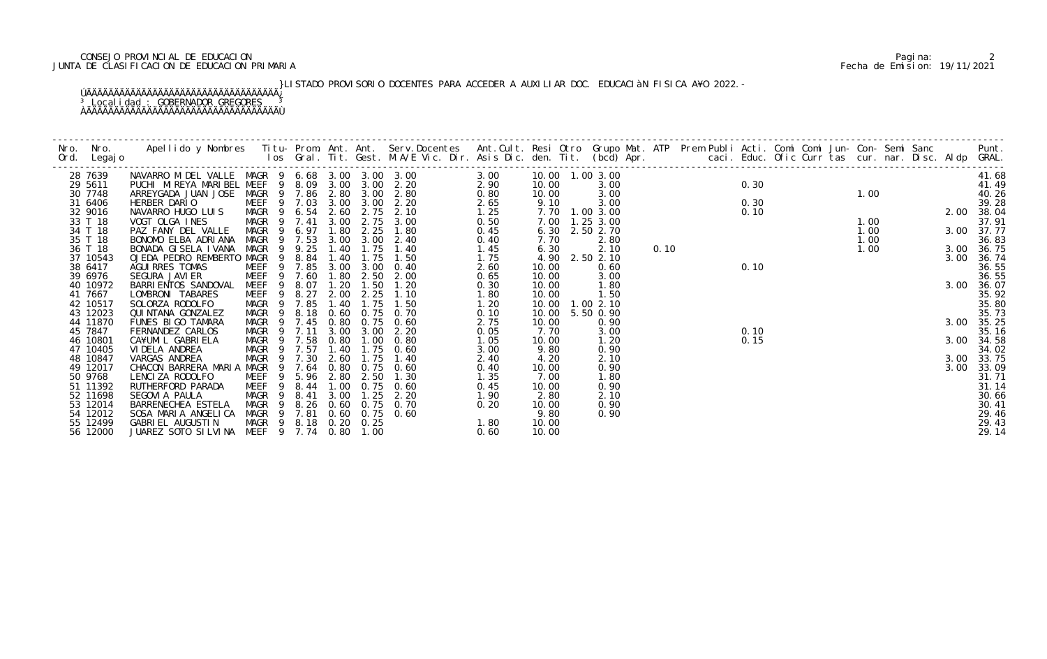## 2 CONSEJO PROVINCIAL DE EDUCACION<br>JUNTA DE CLASIFICACION DE EDUCACION PRIMARIA PERIMARIA PERIMARIA PERIMARIA PERIMARIA PERIMARIA PERIMARIA PARA JUNTA DE CLASIFICACION DE EDUCACION PRIMARIA Fecha de Emision: 19/11/2021

}LISTADO PROVISORIO DOCENTES PARA ACCEDER A AUXILIAR DOC. EDUCACIàN FISICA A¥O 2022.-

 ÚÄÄÄÄÄÄÄÄÄÄÄÄÄÄÄÄÄÄÄÄÄÄÄÄÄÄÄÄÄÄÄÄÄÄÄ¿ <sup>3</sup> Localidad : GOBERNADOR GREGORES <sup>3</sup> ÀÄÄÄÄÄÄÄÄÄÄÄÄÄÄÄÄÄÄÄÄÄÄÄÄÄÄÄÄÄÄÄÄÄÄÄÙ

| 28 7639             | NAVARRO M DEL VALLE MAGR 9 6.68 3.00 3.00 3.00               |                                                          |      |      |           |                                             | 3.00         |               | 10.00  1.00  3.00 |  |  |                                                    |  |  |                  |      | 41.68          |
|---------------------|--------------------------------------------------------------|----------------------------------------------------------|------|------|-----------|---------------------------------------------|--------------|---------------|-------------------|--|--|----------------------------------------------------|--|--|------------------|------|----------------|
| 29 5611             | PUCHI MIREYA MARIBEL MEEF 9 8.09 3.00 3.00 2.20              |                                                          |      |      |           | $2.90$<br>0.80<br>2.65<br>1.25              |              | 10.00         | 3.00              |  |  | 0.30                                               |  |  | $1.00$<br>$2.00$ |      | 41.49          |
| 30 7748             | ARREYGADA JUAN JOSE MAGR 9 7.86 2.80 3.00 2.80               |                                                          |      |      |           |                                             |              | 10.00         | 3.00              |  |  |                                                    |  |  |                  |      | 40.26          |
| 31 6406             | HERBER DARIO<br>NAVARRO HUGO LUIS MAGR 9 6.54 2.60 2.75 2.10 |                                                          |      |      |           |                                             |              | 9.10          | 3.00              |  |  | 0.30                                               |  |  |                  |      | 39.28          |
| 32 9016             |                                                              |                                                          |      |      |           |                                             |              |               | 7.70 1.00 3.00    |  |  | 0.10                                               |  |  |                  |      | 2.00 38.04     |
| 33 T 18             | VOGT OLGA INES                                               | MAGR 9 7.41                                              |      |      |           | 3.00 2.75 3.00                              | 0.50         |               | 7.00 1.25 3.00    |  |  |                                                    |  |  |                  |      | 37.91          |
| 34 T 18             | PAZ FANY DEL VALLE                                           | MAGR 9 6.97 1.80 2.25                                    |      |      |           | 1.80                                        | 0.45         |               | 6.30 2.50 2.70    |  |  |                                                    |  |  |                  |      | 3.00 37.77     |
| 35 T 18             | BONOMO ELBA ADRIANA                                          | MAGR 9 7.53                                              |      |      |           | 3.00 3.00 2.40                              | 0.40         | 7.70          | 2.80              |  |  |                                                    |  |  |                  |      | 36.83          |
| 36 T 18             | BONADA GISELA IVANA                                          | MAGR<br>- 9                                              | 9.25 | 1.40 | 1.75      | 1.40                                        | 1.45         | 6.30          | 2.10              |  |  | 0. 10<br>0. 10<br>0. 10<br>0. 10<br>0. 10<br>0. 10 |  |  |                  |      | 3.00 36.75     |
| 37 10543            | OJEDA PEDRO REMBERTO MAGR 9                                  |                                                          | 8.84 | 1.40 | 1.75      | 1.50                                        | 1.75         |               | 4.90 2.50 2.10    |  |  |                                                    |  |  |                  | 3.00 | 36.74          |
| 38 6417             | AGUI RRES TOMAS                                              | MEEF 9 7.85 3.00 3.00 0.40                               |      |      |           |                                             | 2.60         | 10.00         | 0.60              |  |  |                                                    |  |  |                  |      | 36.55          |
| 39 6976             | SEGURA JAVI ER                                               | MEEF 9 7.60                                              |      |      | 1.80 2.50 | 2.00                                        | 0.65         | 10.00         | 3.00              |  |  |                                                    |  |  |                  |      | 36.55          |
| 40 10972            | BARRI ENTOS SANDOVAL                                         | 9<br>MEEF                                                | 8.07 | 1.20 | 1.50      | 1.20                                        | 0.30         | 10.00         | 1.80              |  |  |                                                    |  |  |                  |      | 3.00 36.07     |
| 41 7667             | LOMBRONI TABARES                                             | MEEF 9 8.27 2.00 2.25                                    |      |      |           | 1.10                                        | 1.80         | 10.00         | 1.50              |  |  |                                                    |  |  |                  |      | 35.92          |
| 42 10517            | SOLORZA RODOLFO                                              | MAGR 9 7.85                                              |      | 1.40 | 1.75      | 1.50                                        | 1.20         |               | 10.00  1.00  2.10 |  |  |                                                    |  |  |                  |      | 35.80          |
| 43 12023            | QUI NTANA GONZALEZ                                           | MAGR <sub>9</sub>                                        | 8.18 |      |           | 0.60 0.75 0.70                              | 0.10         |               | 10.00 5.50 0.90   |  |  |                                                    |  |  |                  |      | 35.73          |
| 44 11870            | FUNES BIGO TAMARA                                            | MAGR 9 7.45                                              |      |      |           | 0.80 0.75 0.60                              | 2.75         | 10.00         | 0.90              |  |  |                                                    |  |  |                  |      | 3.00 35.25     |
| 45 7847             | FERNANDEZ CARLOS                                             | MAGR 9 7.11                                              |      |      |           | 3.00 3.00 2.20                              | 0.05         | 7.70          | 3.00              |  |  | 0.10                                               |  |  |                  |      | 35.16          |
| 46 10801            | CA¥UMIL GABRIELA                                             | MAGR 9 7.58 0.80 1.00 0.80<br>MAGR 9 7.57 1.40 1.75 0.60 |      |      |           |                                             | 1.05         | 10.00         | 1.20              |  |  | 0.15                                               |  |  |                  |      | 3.00 34.58     |
| 47 10405            | VI DELA ANDREA                                               |                                                          |      | 2.60 |           |                                             | 3.00         | 9.80          | 0.90              |  |  |                                                    |  |  |                  |      | 34.02          |
| 48 10847            | VARGAS ANDREA                                                | MAGR 9 7.30                                              |      |      | 1.75      | 1.40                                        | 2.40         | 4.20          | 2.10              |  |  |                                                    |  |  |                  |      | 3.00 33.75     |
| 49 12017<br>50 9768 | CHACON BARRERA MARIA MAGR 9 7.64                             | MEEF 9 5.96 2.80 2.50                                    |      |      |           | 0.80 0.75 0.60<br>1.30                      | 0.40         | 10.00<br>7.00 | 0.90              |  |  |                                                    |  |  |                  |      | 3.00 33.09     |
| 51 11392            | LENCIZA RODOLFO<br>RUTHERFORD PARADA                         | - 9                                                      |      |      |           | 8.44 1.00 0.75 0.60                         | 1.35         | 10.00         | 1.80<br>0.90      |  |  |                                                    |  |  |                  |      | 31.71<br>31.14 |
| 52 11698            | SEGOVIA PAULA                                                | MEEF                                                     |      |      |           |                                             | 0.45<br>1.90 | 2.80          | 2.10              |  |  |                                                    |  |  |                  |      | 30.66          |
| 53 12014            | BARRENECHEA ESTELA                                           | MAGR 9 8.41<br>MAGR 9 8.26 0.60 0.75 0.70                |      | 3.00 |           | $1.25$ $2.20$                               |              | 10.00         | 0.90              |  |  |                                                    |  |  |                  |      | 30.41          |
| 54 12012            | SOSA MARIA ANGELICA                                          |                                                          |      |      |           | $\begin{array}{c} 0.20 \\ 1.80 \end{array}$ |              | 9.80          | 0.90              |  |  |                                                    |  |  |                  |      | 29.46          |
| 55 12499            | GABRIEL AUGUSTIN                                             | MAGR 9 7.81 0.60 0.75 0.60<br>MAGR 9 8.18 0.20 0.25      |      |      |           |                                             |              | 10.00         |                   |  |  |                                                    |  |  |                  |      | 29.43          |
| 56 12000            | JUAREZ SOTO SILVINA MEEF 9 7.74 0.80 1.00                    |                                                          |      |      |           |                                             | 0.60         | 10.00         |                   |  |  |                                                    |  |  |                  |      | 29.14          |